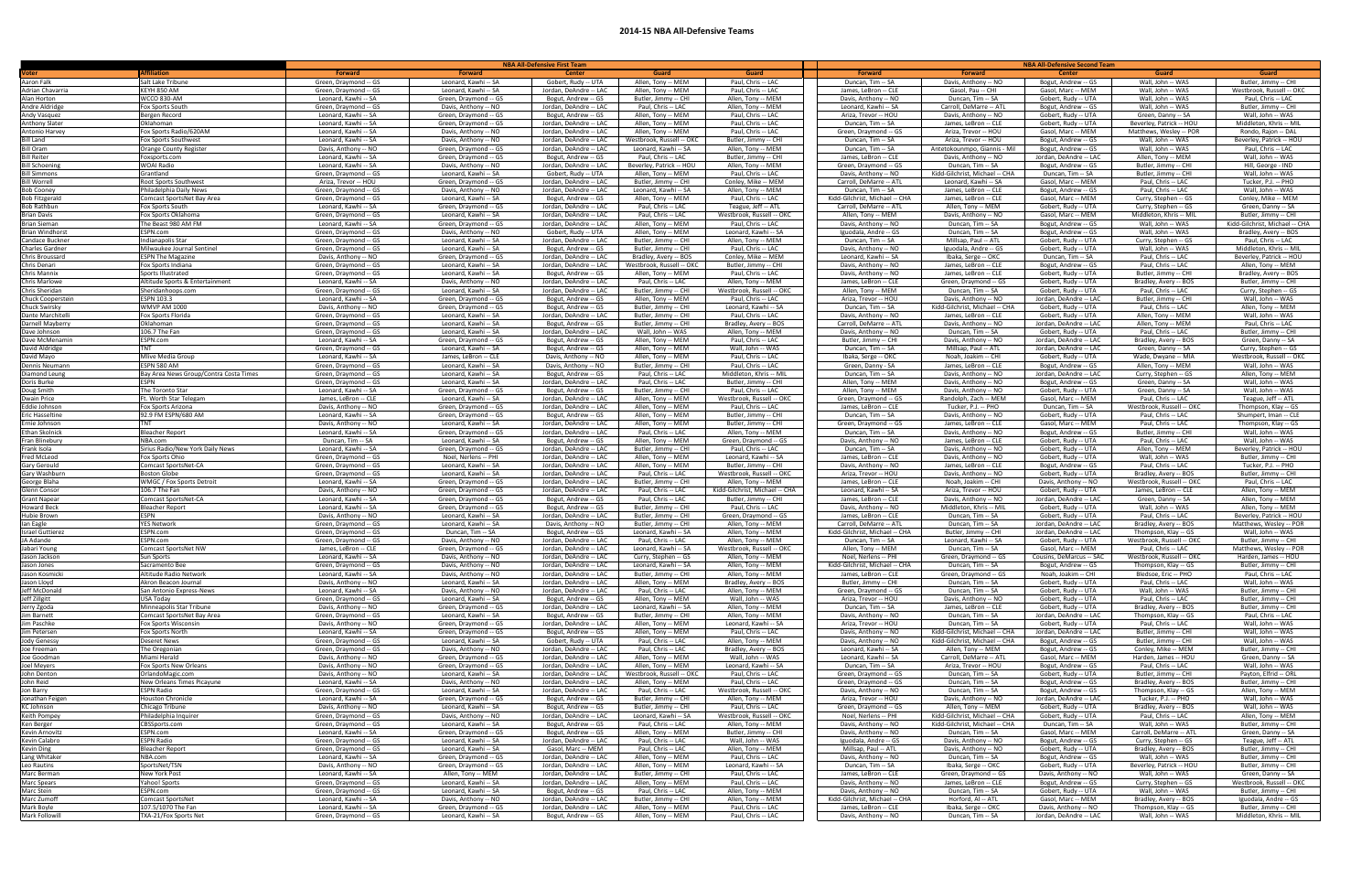## **2014-15 NBA All-Defensive Teams**

| <b>Guard</b><br>Butler, Jimmy -- CHI                    |
|---------------------------------------------------------|
| Westbrook, Russell -- OKC                               |
| Paul, Chris -- LAC                                      |
| Butler, Jimmy -- CHI                                    |
| Wall, John -- WAS                                       |
| Middleton, Khris -- MIL                                 |
| <u> Rondo, Rajon -- DAL</u><br>Beverley, Patrick -- HOU |
| Paul, Chris -- LAC                                      |
| Wall, John -- WAS                                       |
| Hill, George - IND                                      |
| Wall, John -- WAS                                       |
| Tucker, P.J. -- PHO                                     |
| Wall, John -- WAS<br>Conley, Mike -- MEM                |
| Green, Danny -- SA                                      |
| Butler, Jimmy -- CHI                                    |
| idd-Gilchrist, Michael -- CHA                           |
| Bradley, Avery -- BOS                                   |
| Paul, Chris -- LAC<br>Middleton, Khris -- MIL           |
| Beverley, Patrick -- HOU                                |
| Allen, Tony -- MEM                                      |
| Bradley, Avery -- BOS                                   |
| Butler, Jimmy -- CHI                                    |
| Curry, Stephen -- GS                                    |
| Wall, John -- WAS                                       |
| Allen, Tony -- MEM<br>Wall, John -- WAS                 |
| Paul, Chris -- LAC                                      |
| Butler, Jimmy -- CHI                                    |
| Green, Danny -- SA                                      |
| Curry, Stephen -- GS                                    |
| Westbrook, Russell -- OKC<br>Wall, John -- WAS          |
| <u> Allen, Tony -- MEM</u>                              |
| Wall, John -- WAS                                       |
| Wall, John -- WAS                                       |
| Teague, Jeff -- ATL                                     |
| Thompson, Klay -- GS                                    |
| Shumpert, Iman -- CLE                                   |
| Thompson, Klay -- GS<br>Wall, John -- WAS               |
| Wall, John -- WAS                                       |
| Beverley, Patrick -- HOU                                |
| Butler, Jimmy -- CHI                                    |
| Tucker, P.J. -- PHO                                     |
| Butler, Jimmy -- CHI                                    |
| Paul, Chris -- LAC<br>Allen, Tony -- MEM                |
| Allen, Tony -- MEM                                      |
| Allen, Tony -- MEM                                      |
| Beverley, Patrick -- HOU                                |
| Matthews, Wesley -- POR                                 |
| Wall, John -- WAS                                       |
| Butler, Jimmy -- CHI<br>Matthews, Wesley -- POR         |
| Harden, James -- HOU                                    |
| Butler, Jimmy -- CHI                                    |
| Paul, Chris -- LAC                                      |
| Wall, John -- WAS                                       |
| Butler, Jimmy -- CHI                                    |
| Butler, Jimmy -- CHI<br>Butler, Jimmy -- CHI            |
| Paul, Chris -- LAC                                      |
| Wall, John -- WAS                                       |
| Wall, John -- WAS                                       |
| Wall, John -- WAS                                       |
| <u> Butler, Jimmy -- CHI</u>                            |
| Green, Danny -- SA<br>Wall, John -- WAS                 |
| Payton, Elfrid -- ORL                                   |
| Butler, Jimmy -- CHI                                    |
| Allen, Tony -- MEM                                      |
| Wall, John -- WAS                                       |
| Wall, John -- WAS                                       |
| Allen, Tony -- MEM<br>Butler, Jimmy -- CHI              |
| Green, Danny -- SA                                      |
| Teague, Jeff -- ATL                                     |
| Butler, Jimmy -- CHI                                    |
| Butler, Jimmy -- CHI                                    |
| Butler, Jimmy -- CHI                                    |
| Green, Danny -- SA<br>Westbrook, Russell -- OKC         |
| Butler, Jimmy -- CHI                                    |
| Iguodala, Andre -- GS                                   |
| Butler, Jimmy -- CHI                                    |
| Middleton, Khris -- MIL                                 |

|                                          |                                                  |                                               | NBA All-Defensive First Team                  |                                                  |                                              |                                             | <b>NBA All-Defensive Second Team</b>         |                                                      |                                            |                                             |                                               |  |
|------------------------------------------|--------------------------------------------------|-----------------------------------------------|-----------------------------------------------|--------------------------------------------------|----------------------------------------------|---------------------------------------------|----------------------------------------------|------------------------------------------------------|--------------------------------------------|---------------------------------------------|-----------------------------------------------|--|
| Voter                                    | <b>Affiliation</b>                               | <b>Forward</b>                                | <b>Forward</b>                                | <b>Center</b>                                    | Guard                                        | <b>Guard</b>                                | <b>Forward</b>                               | <b>Forward</b>                                       | <b>Center</b>                              | <b>Guard</b>                                | Guard                                         |  |
| <b>Aaron Falk</b>                        | Salt Lake Tribune                                | Green, Draymond -- GS                         | Leonard, Kawhi -- SA                          | Gobert, Rudy -- UTA                              | Allen, Tony -- MEM                           | Paul, Chris -- LAC                          | Duncan, Tim -- SA                            | Davis, Anthony -- NO                                 | Bogut, Andrew -- GS                        | Wall, John -- WAS                           | Butler, Jimmy -- CHI                          |  |
| Adrian Chavarria                         | KEYH 850 AM                                      | Green, Draymond -- GS                         | Leonard, Kawhi -- SA                          | Jordan, DeAndre -- LAC                           | Allen, Tony -- MEM                           | Paul, Chris -- LAC                          | James, LeBron -- CLE                         | Gasol, Pau -- CHI                                    | Gasol, Marc -- MEM                         | Wall, John -- WAS                           | Westbrook, Russell -- OKC                     |  |
| Alan Horton                              | <b>WCCO 830-AM</b>                               | Leonard, Kawhi -- SA                          | Green, Draymond -- GS                         | Bogut, Andrew -- GS                              | Butler, Jimmy -- CHI                         | Allen, Tony -- MEM                          | Davis, Anthony -- NO                         | Duncan, Tim -- SA                                    | Gobert, Rudy -- UTA                        | Wall, John -- WAS                           | Paul, Chris -- LAC                            |  |
| Andre Aldridge                           | Fox Sports South                                 | Green, Draymond -- GS                         | Davis, Anthony -- NO                          | Jordan, DeAndre -- LAC                           | Paul, Chris -- LAC                           | Allen, Tony -- MEM                          | Leonard. Kawhi -- SA                         | Carroll, DeMarre -- ATL                              | Bogut, Andrew -- GS                        | Wall, John -- WAS                           | Butler, Jimmy -- CHI                          |  |
| <b>Andy Vasquez</b>                      | Bergen Record                                    | Leonard, Kawhi -- SA                          | Green, Draymond -- GS                         | Bogut, Andrew -- GS                              | Allen, Tony -- MEM                           | Paul, Chris -- LAC                          | Ariza, Trevor -- HOU                         | Davis, Anthony -- NO                                 | Gobert, Rudy -- UTA                        | Green, Danny -- SA                          | Wall, John -- WAS                             |  |
| <b>Anthony Slater</b>                    | Oklahoman                                        | Leonard, Kawhi -- SA                          | Green, Draymond -- GS                         | Jordan, DeAndre -- LAC                           | Allen, Tony -- MEM                           | Paul, Chris -- LAC                          | Duncan, Tim -- SA                            | James, LeBron -- CLE                                 | Gobert, Rudy -- UTA                        | Beverley, Patrick -- HOU                    | Middleton, Khris -- MIL                       |  |
| Antonio Harvey                           | Fox Sports Radio/620AM                           | Leonard, Kawhi -- SA                          | Davis, Anthony -- NO                          | Jordan, DeAndre -- LAC                           | Allen, Tony -- MEM                           | Paul, Chris -- LAC                          | Green, Draymond -- GS                        | Ariza, Trevor -- HOU                                 | Gasol, Marc -- MEM                         | Matthews, Wesley -- POR                     | Rondo, Rajon -- DAL                           |  |
| <b>Bill Land</b>                         | <b>Fox Sports Southwest</b>                      | Leonard, Kawhi -- SA                          | Davis, Anthony -- NO                          | Jordan, DeAndre -- LAC                           | Westbrook, Russell -- OKC                    | Butler, Jimmy -- CHI                        | Duncan, Tim -- SA                            | Ariza, Trevor -- HOU                                 | Bogut, Andrew -- GS                        | Wall, John -- WAS                           | Beverley, Patrick -- HOU                      |  |
| <b>Bill Oram</b>                         | Orange County Register                           | Davis, Anthony -- NO                          | Green, Draymond -- GS                         | Jordan, DeAndre -- LAC                           | Leonard, Kawhi -- SA                         | Allen, Tony -- MEM                          | Duncan, Tim -- SA                            | Antetokounmpo, Giannis - Mil                         | Bogut, Andrew -- GS                        | Wall, John -- WAS                           | Paul, Chris -- LAC                            |  |
| <b>Bill Reiter</b>                       | Foxsports.com                                    | Leonard, Kawhi -- SA                          | Green, Draymond -- GS                         | Bogut, Andrew -- GS                              | Paul, Chris -- LAC                           | Butler, Jimmy -- CHI                        | James, LeBron -- CLE                         | Davis, Anthony -- NO                                 | Jordan, DeAndre -- LAC                     | Allen, Tony -- MEM                          | Wall, John -- WAS                             |  |
| <b>Bill Schoening</b>                    | <b>WOAI Radio</b>                                | Leonard, Kawhi -- SA                          | Davis, Anthony -- NO                          | Jordan, DeAndre -- LAC                           | Beverley, Patrick -- HOU                     | Allen, Tony -- MEM                          | Green, Draymond -- GS                        | Duncan, Tim -- SA                                    | Bogut, Andrew -- GS                        | Butler, Jimmy -- CHI                        | Hill, George - IND                            |  |
| <b>Bill Simmons</b>                      | Grantland                                        | Green, Draymond -- GS                         | Leonard, Kawhi -- SA                          | Gobert, Rudy -- UTA                              | Allen, Tony -- MEM                           | Paul, Chris -- LAC                          | Davis, Anthony -- NO                         | Kidd-Gilchrist, Michael -- CHA                       | Duncan, Tim -- SA                          | Butler, Jimmy -- CHI                        | Wall, John -- WAS                             |  |
| <b>Bill Worrell</b><br><b>Bob Cooney</b> | Root Sports Southwest<br>Philadelphia Daily News | Ariza, Trevor -- HOU<br>Green, Draymond -- GS | Green, Draymond -- GS<br>Davis, Anthony -- NO | Jordan, DeAndre -- LAC<br>Jordan, DeAndre -- LAC | Butler, Jimmy -- CHI<br>Leonard, Kawhi -- SA | Conley, Mike -- MEM<br>Allen, Tony -- MEM   | Carroll, DeMarre -- ATL<br>Duncan, Tim -- SA | Leonard, Kawhi -- SA<br>James, LeBron -- CLE         | Gasol, Marc -- MEM<br>Bogut, Andrew -- GS  | Paul, Chris -- LAC<br>Paul, Chris -- LAC    | Tucker, P.J. -- PHO<br>Wall, John -- WAS      |  |
| <b>Bob Fitzgerald</b>                    | Comcast SportsNet Bay Area                       | Green, Draymond -- GS                         | Leonard, Kawhi -- SA                          | Bogut, Andrew -- GS                              | Allen, Tony -- MEM                           | Paul, Chris -- LAC                          | Kidd-Gilchrist, Michael -- CHA               | James, LeBron -- CLE                                 | Gasol, Marc -- MEM                         | Curry, Stephen -- GS                        | Conley, Mike -- MEM                           |  |
| <b>Bob Rathbun</b>                       | Fox Sports South                                 | Leonard, Kawhi -- SA                          | Green, Draymond -- GS                         | Jordan, DeAndre -- LAC                           | Paul, Chris -- LAC                           | Teague, Jeff -- ATL                         | Carroll, DeMarre -- ATL                      | Allen, Tony -- MEM                                   | Gobert, Rudy -- UTA                        | Curry, Stephen -- GS                        | Green, Danny -- SA                            |  |
| <b>Brian Davis</b>                       | Fox Sports Oklahoma                              | Green, Draymond -- GS                         | Leonard, Kawhi -- SA                          | Jordan, DeAndre -- LAC                           | Paul, Chris -- LAC                           | Westbrook, Russell -- OKC                   | Allen, Tony -- MEM                           | Davis, Anthony -- NO                                 | Gasol, Marc -- MEM                         | Middleton, Khris -- MIL                     | Butler, Jimmy -- CHI                          |  |
| <b>Brian Sieman</b>                      | The Beast 980 AM FM                              | Leonard, Kawhi -- SA                          | Green, Draymond -- GS                         | Jordan, DeAndre -- LAC                           | Allen, Tony -- MEM                           | Paul, Chris -- LAC                          | Davis, Anthony -- NO                         | Duncan, Tim -- SA                                    | Bogut, Andrew -- GS                        | Wall, John -- WAS                           | Kidd-Gilchrist, Michael -- CHA                |  |
| <b>Brian Windhorst</b>                   | ESPN.com                                         | Green, Draymond -- GS                         | Davis, Anthony -- NO                          | Gobert, Rudy -- UTA                              | Allen, Tony -- MEM                           | Leonard, Kawhi -- SA                        | Iguodala, Andre -- GS                        | Duncan, Tim -- SA                                    | Bogut, Andrew -- GS                        | Wall, John -- WAS                           | Bradley, Avery -- BOS                         |  |
| Candace Buckner                          | Indianapolis Star                                | Green, Draymond -- GS                         | Leonard, Kawhi -- SA                          | Jordan, DeAndre -- LAC                           | Butler, Jimmy -- CHI                         | Allen, Tony -- MEM                          | Duncan, Tim -- SA                            | Millsap, Paul -- ATL                                 | Gobert, Rudy -- UTA                        | Curry, Stephen -- GS                        | Paul, Chris -- LAC                            |  |
| Charles Gardner                          | Milwaukee Journal Sentinel                       | Green, Draymond -- GS                         | Leonard, Kawhi -- SA                          | Bogut, Andrew -- GS                              | Butler. Jimmy -- CHI                         | Paul, Chris -- LAC                          | Davis, Anthony -- NO                         | Iguodala, Andre -- GS                                | Gobert, Rudy -- UTA                        | Wall, John -- WAS                           | Middleton, Khris -- MIL                       |  |
| Chris Broussard                          | <b>ESPN The Magazine</b>                         | Davis, Anthony -- NO                          | Green, Draymond -- GS                         | Jordan, DeAndre -- LAC                           | Bradley, Avery -- BOS                        | Conley, Mike -- MEM                         | Leonard, Kawhi -- SA                         | Ibaka, Serge -- OKC                                  | Duncan, Tim -- SA                          | Paul, Chris -- LAC                          | Beverley, Patrick -- HOU                      |  |
| Chris Denari                             | Fox Sports Indiana                               | Green, Draymond -- GS                         | Leonard, Kawhi -- SA                          | Jordan, DeAndre -- LAC                           | Westbrook, Russell -- OKC                    | Butler, Jimmy -- CHI                        | Davis, Anthony -- NO                         | James, LeBron -- CLE                                 | Bogut, Andrew -- GS                        | Paul, Chris -- LAC                          | Allen, Tony -- MEM                            |  |
| Chris Mannix                             | Sports Illustrated                               | Green, Draymond -- GS                         | Leonard, Kawhi -- SA                          | Bogut, Andrew -- GS                              | Allen, Tony -- MEM                           | Paul, Chris -- LAC                          | Davis, Anthony -- NO                         | James, LeBron -- CLE                                 | Gobert, Rudy -- UTA                        | Butler, Jimmy -- CHI                        | Bradley, Avery -- BOS                         |  |
| Chris Marlowe                            | Altitude Sports & Entertainment                  | Leonard, Kawhi -- SA                          | Davis, Anthony -- NO                          | Jordan, DeAndre -- LAC                           | Paul, Chris -- LAC                           | Allen, Tony -- MEM                          | James, LeBron -- CLE                         | Green, Draymond -- GS                                | Gobert, Rudy -- UTA                        | Bradley, Avery -- BOS                       | Butler, Jimmy -- CHI                          |  |
| Chris Sheridan                           | Sheridanhoops.com                                | Green, Draymond -- GS                         | Leonard, Kawhi -- SA                          | Jordan, DeAndre -- LAC                           | Butler, Jimmy -- CHI                         | Westbrook, Russell -- OKC                   | Allen, Tony -- MEM                           | Duncan, Tim -- SA                                    | Gobert, Rudy -- UTA                        | Paul, Chris -- LAC                          | Curry, Stephen -- GS                          |  |
| Chuck Cooperstein                        | ESPN 103.3                                       | Leonard, Kawhi -- SA                          | Green, Draymond -- GS                         | Bogut, Andrew -- GS                              | Allen, Tony -- MEM                           | Paul, Chris -- LAC                          | Ariza, Trevor -- HOU                         | Davis, Anthony -- NO                                 | Jordan, DeAndre -- LAC                     | Butler, Jimmy -- CHI                        | Wall, John -- WAS                             |  |
| <b>Chuck Swirsky</b>                     | <b>WMVP AM 1000</b>                              | Davis, Anthony -- NO                          | Green, Draymond -- GS                         | Bogut, Andrew -- GS                              | Butler, Jimmy -- CHI                         | Leonard, Kawhi -- SA                        | Duncan, Tim -- SA                            | Kidd-Gilchrist, Michael -- CHA                       | Gobert, Rudy -- UTA                        | Paul, Chris -- LAC                          | Allen, Tony -- MEM                            |  |
| Dante Marchitelli                        | Fox Sports Florida                               | Green, Draymond -- GS                         | Leonard, Kawhi -- SA                          | Jordan, DeAndre -- LAC                           | Butler, Jimmy -- CHI                         | Paul, Chris -- LAC                          | Davis, Anthony -- NO                         | James, LeBron -- CLE                                 | Gobert, Rudy -- UTA                        | Allen, Tony -- MEM                          | Wall, John -- WAS                             |  |
| Darnell Mayberry                         | Oklahoman                                        | Green, Draymond -- GS                         | Leonard, Kawhi -- SA                          | Bogut, Andrew -- GS                              | Butler, Jimmy -- CHI                         | Bradley, Avery -- BOS                       | Carroll, DeMarre -- ATL                      | Davis, Anthony -- NO                                 | Jordan, DeAndre -- LAC                     | Allen, Tony -- MEM                          | Paul, Chris -- LAC                            |  |
| Dave Johnson                             | 106.7 The Fan                                    | Green, Draymond -- GS                         | Leonard, Kawhi -- SA                          | Jordan, DeAndre -- LAC                           | Wall, John -- WAS                            | Allen, Tony -- MEM                          | Davis, Anthony -- NO                         | Duncan, Tim -- SA                                    | Gobert, Rudy -- UTA                        | Paul, Chris -- LAC                          | Butler, Jimmy -- CHI                          |  |
| Dave McMenamir                           | ESPN.com                                         | Leonard, Kawhi -- SA                          | Green, Draymond -- GS                         | Bogut, Andrew -- GS                              | Allen, Tony -- MEM                           | Paul, Chris -- LAC                          | Butler, Jimmy -- CHI                         | Davis, Anthony -- NO                                 | Jordan. DeAndre -- LAC                     | Bradley, Avery -- BOS                       | Green, Danny -- SA                            |  |
| David Aldridge                           | TNT                                              | Green, Draymond -- GS                         | Leonard, Kawhi -- SA                          | Bogut, Andrew -- GS                              | Allen, Tony -- MEM                           | Wall, John -- WAS                           | Duncan, Tim -- SA                            | Millsap, Paul -- ATL                                 | Jordan. DeAndre -- LAC                     | Green, Danny -- SA                          | Curry, Stephen -- GS                          |  |
| David Mayo                               | Mlive Media Group                                | Leonard, Kawhi -- SA                          | James, LeBron -- CLE                          | Davis, Anthony -- NO                             | Allen, Tony -- MEM                           | Paul, Chris -- LAC                          | Ibaka, Serge -- OKC                          | Noah, Joakim -- CHI                                  | Gobert, Rudy -- UTA                        | Wade, Dwyane -- MIA                         | Westbrook, Russell -- OKC                     |  |
| Dennis Neumann                           | ESPN 580 AM                                      | Green, Draymond -- GS                         | Leonard, Kawhi -- SA                          | Davis. Anthony -- NO                             | Butler, Jimmy -- CHI                         | Paul. Chris -- LAC                          | Green, Danny - SA                            | James. LeBron -- CLE                                 | Bogut. Andrew -- GS                        | Allen, Tony -- MFM                          | Wall, John -- WAS                             |  |
| Diamond Leung                            | Bay Area News Group/Contra Costa Times           | Green, Draymond -- GS                         | Leonard. Kawhi -- SA                          | Bogut, Andrew -- GS                              | Paul. Chris -- LAC                           | Middleton, Khris -- MIL                     | Duncan. Tim -- SA                            | Davis, Anthony -- NO                                 | Jordan, DeAndre -- LAC                     | Curry, Stephen -- GS                        | Allen, Tony -- MEM                            |  |
| Doris Burke                              | ESPN                                             | Green, Draymond -- GS                         | Leonard. Kawhi -- SA                          | Jordan. DeAndre -- LAC                           | Paul. Chris -- LAC                           | Butler, Jimmy -- CHI                        | Allen, Tony -- MEM                           | Davis, Anthony -- NO                                 | Bogut, Andrew -- GS                        | Green, Danny -- SA                          | Wall, John -- WAS                             |  |
| Doug Smith                               | The Toronto Star                                 | Leonard, Kawhi -- SA                          | Green, Draymond -- GS                         | Bogut, Andrew -- GS                              | Butler, Jimmy -- CHI                         | Paul, Chris -- LAC                          | Allen, Tony -- MEM                           | Davis, Anthony -- NO                                 | Gobert, Rudy -- UTA                        | Green, Danny -- SA                          | Wall, John -- WAS                             |  |
| <b>Dwain Price</b>                       | Ft. Worth Star Telegam                           | James, LeBron -- CLE                          | Leonard, Kawhi -- SA                          | Jordan, DeAndre -- LAC                           | Allen, Tony -- MEM                           | Westbrook, Russell -- OKC                   | Green, Draymond -- GS                        | Randolph, Zach -- MEM                                | Gasol, Marc -- MEM                         | Paul, Chris -- LAC                          | Teague, Jeff -- ATL                           |  |
| Eddie Johnson                            | Fox Sports Arizona                               | Davis, Anthony -- NO                          | Green, Draymond -- GS                         | Jordan, DeAndre -- LAC                           | Allen, Tony -- MEM                           | Paul, Chris -- LAC                          | James, LeBron -- CLE                         | Tucker, P.J. -- PHO                                  | Duncan, Tim -- SA                          | Westbrook. Russell -- OKC                   | Thompson, Klay -- GS                          |  |
| <b>Eric Hasseltine</b>                   | 92.9 FM ESPN/680 AM                              | Leonard, Kawhi -- SA                          | Green, Draymond -- GS                         | Bogut, Andrew -- GS                              | Allen, Tony -- MEM                           | Butler, Jimmy -- CHI                        | Duncan, Tim -- SA                            | Davis, Anthony -- NO                                 | Gobert, Rudy -- UTA                        | Paul, Chris -- LAC                          | Shumpert, Iman -- CLE                         |  |
| Ernie Johnson                            |                                                  | Davis, Anthony -- NO                          | Leonard, Kawhi -- SA                          | Jordan, DeAndre -- LAC                           | Allen, Tony -- MEM                           | Butler, Jimmy -- CHI                        | Green, Draymond -- GS                        | James, LeBron -- CLE                                 | Gasol, Marc -- MEM                         | Paul, Chris -- LAC                          | Thompson, Klay -- GS                          |  |
| Ethan Skolnick                           | <b>Bleacher Report</b>                           | Leonard, Kawhi -- SA                          | Green, Draymond -- GS                         | Jordan, DeAndre -- LAC                           | Paul, Chris -- LAC                           | Allen, Tony -- MEM                          | Duncan, Tim -- SA                            | Davis, Anthony -- NO                                 | Bogut, Andrew -- GS                        | Butler, Jimmy -- CHI                        | Wall, John -- WAS                             |  |
| Fran Blinebury                           | NBA.com<br>Sirius Radio/New York Daily News      | Duncan, Tim -- SA<br>Leonard, Kawhi -- SA     | Leonard, Kawhi -- SA                          | Bogut, Andrew -- GS<br>Jordan, DeAndre -- LAC    | Allen, Tony -- MEM<br>Butler, Jimmy -- CHI   | Green, Draymond -- GS<br>Paul, Chris -- LAC | Davis, Anthony -- NO<br>Duncan, Tim -- SA    | James, LeBron -- CLE<br>Davis, Anthony -- NO         | Gobert, Rudy -- UTA<br>Gobert, Rudy -- UTA | Paul, Chris -- LAC<br>Allen, Tony -- MEM    | Wall, John -- WAS<br>Beverley, Patrick -- HOU |  |
| Frank Isola<br>Fred McLeod               | Fox Sports Ohio                                  | Green, Draymond -- GS                         | Green, Draymond -- GS<br>Noel, Nerlens -- PHI | Jordan, DeAndre -- LAC                           | Allen, Tony -- MEM                           | Leonard, Kawhi -- SA                        | James, LeBron -- CLE                         | Davis, Anthony -- NO                                 | Gobert, Rudy -- UTA                        | Wall, John -- WAS                           | Butler, Jimmy -- CHI                          |  |
| <b>Gary Gerould</b>                      | Comcast SportsNet-CA                             | Green, Draymond -- GS                         | Leonard, Kawhi -- SA                          | Jordan, DeAndre -- LAC                           | Allen, Tony -- MEM                           | Butler, Jimmy -- CHI                        | Davis, Anthony -- NO                         | James, LeBron -- CLE                                 | Bogut, Andrew -- GS                        | Paul, Chris -- LAC                          | Tucker, P.J. -- PHO                           |  |
| Gary Washburn                            | <b>Boston Globe</b>                              | Green, Draymond -- GS                         | Leonard, Kawhi -- SA                          | Jordan, DeAndre -- LAC                           | Paul, Chris -- LAC                           | Westbrook. Russell -- OKC                   | Ariza, Trevor -- HOU                         | Davis, Anthony -- NO                                 | Gobert, Rudy -- UTA                        | Bradley, Avery -- BOS                       | Butler, Jimmy -- CHI                          |  |
| George Blaha                             | WMGC / Fox Sports Detroit                        | Leonard, Kawhi -- SA                          | Green, Draymond -- GS                         | Jordan, DeAndre -- LAC                           | Butler, Jimmy -- CHI                         | Allen, Tony -- MEM                          | James, LeBron -- CLE                         | Noah, Joakim -- CHI                                  | Davis, Anthony -- NO                       | Westbrook, Russell -- OKC                   | Paul, Chris -- LAC                            |  |
| Glenn Consor                             | 106.7 The Fan                                    | Davis, Anthony -- NO                          | Green, Draymond -- GS                         | Jordan, DeAndre -- LAC                           | Paul, Chris -- LAC                           | Kidd-Gilchrist, Michael -- CHA              | Leonard, Kawhi -- SA                         | Ariza, Trevor -- HOU                                 | Gobert, Rudy -- UTA                        | James, LeBron -- CLE                        | Allen, Tony -- MEM                            |  |
| <b>Grant Napear</b>                      | Comcast SportsNet-CA                             | Leonard, Kawhi -- SA                          | Green, Draymond -- GS                         | Bogut, Andrew -- GS                              | Paul, Chris -- LAC                           | Butler, Jimmy -- CHI                        | James, LeBron -- CLE                         | Davis, Anthony -- NO                                 | Jordan, DeAndre -- LAC                     | Green, Danny -- SA                          | Allen, Tony -- MEM                            |  |
| <b>Howard Beck</b>                       | <b>Bleacher Report</b>                           | Leonard, Kawhi -- SA                          | Green, Draymond -- GS                         | Bogut, Andrew -- GS                              | Butler, Jimmy -- CHI                         | Paul, Chris -- LAC                          | Davis, Anthony -- NO                         | Middleton, Khris -- MIL                              | Gobert, Rudy -- UTA                        | Wall, John -- WAS                           | Allen, Tony -- MEM                            |  |
| Hubie Brown                              | ESPN                                             | Davis, Anthony -- NO                          | Leonard, Kawhi -- SA                          | Jordan, DeAndre -- LAC                           | Butler, Jimmy -- CHI                         | Green, Draymond -- GS                       | James, LeBron -- CLE                         | Duncan, Tim -- SA                                    | Gobert, Rudy -- UTA                        | Paul, Chris -- LAC                          | Beverley, Patrick -- HOU                      |  |
| lan Eagle                                | <b>YES Network</b>                               | Green, Draymond -- GS                         | Leonard, Kawhi -- SA                          | Davis, Anthony -- NO                             | Butler, Jimmy -- CHI                         | Allen, Tony -- MEM                          | Carroll, DeMarre -- ATL                      | Duncan, Tim -- SA                                    | Jordan, DeAndre -- LAC                     | Bradley, Avery -- BOS                       | Matthews, Wesley -- POR                       |  |
| <b>Israel Guttierez</b>                  | ESPN.com                                         | Green, Draymond -- GS                         | Duncan, Tim -- SA                             | Bogut, Andrew -- GS                              | Leonard, Kawhi -- SA                         | Allen, Tony -- MEM                          | Kidd-Gilchrist, Michael -- CHA               | Butler, Jimmy -- CHI                                 | Jordan, DeAndre -- LAC                     | Thompson, Klay -- GS                        | Wall, John -- WAS                             |  |
| JA Adande                                | ESPN.com                                         | Green, Draymond -- GS                         | Davis, Anthony -- NO                          | Jordan, DeAndre -- LAC                           | Paul, Chris -- LAC                           | Allen, Tony -- MEM                          | Duncan, Tim -- SA                            | Leonard, Kawhi -- SA                                 | Gobert, Rudy -- UTA                        | Westbrook, Russell -- OKC                   | Butler, Jimmy -- CHI                          |  |
| Jabari Young                             | Comcast SportsNet NW                             | James, LeBron -- CLE                          | Green, Draymond -- GS                         | Jordan, DeAndre -- LAC                           | Leonard. Kawhi -- SA                         | Westbrook, Russell -- OKC                   | Allen, Tony -- MEM                           | Duncan, Tim -- SA                                    | Gasol, Marc -- MEM                         | Paul, Chris -- LAC                          | Matthews, Wesley -- POR                       |  |
| Jason Jackson                            | Sun Sports                                       | Leonard, Kawhi -- SA                          | Davis, Anthony -- NO                          | Jordan, DeAndre -- LAC                           | Curry, Stephen -- GS                         | Allen, Tony -- MEM                          | Noel, Nerlens -- PHI                         | Green, Draymond -- GS                                | Cousins, DeMarcus -- SAC                   | Westbrook, Russell -- OKC                   | Harden, James -- HOU                          |  |
| Jason Jones                              | Sacramento Bee                                   | Green, Draymond -- GS                         | Davis, Anthony -- NO                          | Jordan, DeAndre -- LAC                           | Leonard, Kawhi -- SA                         | Allen, Tony -- MEM                          | Kidd-Gilchrist, Michael -- CHA               | Duncan, Tim -- SA                                    | Bogut, Andrew -- GS                        | Thompson, Klay -- GS                        | Butler, Jimmy -- CHI                          |  |
| Jason Kosmicki                           | Altitude Radio Network                           | Leonard, Kawhi -- SA                          | Davis, Anthony -- NO                          | Jordan, DeAndre -- LAC                           | Butler, Jimmy -- CHI                         | Allen, Tony -- MEM                          | James, LeBron -- CLE                         | Green, Draymond -- GS                                | Noah. Joakim -- CHI                        | Bledsoe, Eric -- PHO                        | Paul, Chris -- LAC                            |  |
| Jason Lloyd                              | Akron Beacon Journal                             | Davis, Anthony -- NO                          | Leonard, Kawhi -- SA                          | Jordan. DeAndre -- LAC                           | Allen, Tony -- MEM                           | Bradley, Avery -- BOS                       | Butler, Jimmy -- CHI                         | Duncan, Tim -- SA                                    | Gobert, Rudy -- UTA                        | Paul, Chris -- LAC                          | Wall, John -- WAS                             |  |
| Jeff McDonald                            | San Antonio Express-News                         | Leonard, Kawhi -- SA                          | Davis, Anthony -- NO                          | Jordan, DeAndre -- LAC                           | Paul, Chris -- LAC                           | Allen, Tony -- MEM                          | Green, Draymond -- GS                        | Duncan, Tim -- SA                                    | Gobert, Rudy -- UTA                        | Wall, John -- WAS                           | Butler, Jimmy -- CHI                          |  |
| Jeff Zillgitt                            | USA Today                                        | Green, Draymond -- GS                         | Leonard, Kawhi -- SA                          | Bogut, Andrew -- GS                              | Allen, Tony -- MEM                           | Wall, John -- WAS                           | Ariza, Trevor -- HOU                         | Davis, Anthony -- NO                                 | Gobert, Rudy -- UTA                        | Paul, Chris -- LAC                          | Butler, Jimmy -- CHI                          |  |
| Jerry Zgoda                              | Minneapolis Star Tribune                         | Davis, Anthony -- NO                          | Green, Draymond -- GS                         | Jordan, DeAndre -- LAC                           | Leonard. Kawhi -- SA                         | Allen, Tony -- MEM                          | Duncan, Tim -- SA                            | James, LeBron -- CLE                                 | Gobert, Rudy -- UTA                        | Bradley, Avery -- BOS                       | Butler, Jimmy -- CHI                          |  |
| Jim Barnett                              | Comcast SportsNet Bay Area                       | Green, Draymond -- GS                         | Leonard, Kawhi -- SA                          | Bogut, Andrew -- GS                              | Butler. Jimmy -- CHI                         | Allen, Tony -- MEM                          | Davis, Anthony -- NO                         | Duncan, Tim -- SA                                    | Jordan, DeAndre -- LAC                     | Thompson, Klay -- GS                        | Paul, Chris -- LAC                            |  |
| Jim Paschke                              | <b>Fox Sports Wisconsin</b>                      | Davis, Anthony -- NO                          | Green, Draymond -- GS                         | Jordan, DeAndre -- LAC                           | Allen, Tony -- MEM                           | Leonard, Kawhi -- SA                        | Ariza, Trevor -- HOU                         | Duncan, Tim -- SA                                    | Gobert, Rudy -- UTA                        | Paul, Chris -- LAC                          | Wall, John -- WAS                             |  |
| Jim Petersen                             | Fox Sports North                                 | Leonard, Kawhi -- SA                          | Green, Draymond -- GS                         | Bogut, Andrew -- GS                              | Allen, Tony -- MEM                           | Paul, Chris -- LAC                          | Davis, Anthony -- NO                         | Kidd-Gilchrist, Michael -- CHA                       | Jordan, DeAndre -- LAC                     | Butler, Jimmy -- CHI                        | Wall, John -- WAS                             |  |
| Jody Genessy                             | <b>Deseret News</b>                              | Green, Draymond -- GS                         | Leonard, Kawhi -- SA                          | Gobert, Rudy -- UTA                              | Paul, Chris -- LAC                           | Allen, Tony -- MEM                          | Davis, Anthony -- NO<br>Leonard. Kawhi -- SA | Kidd-Gilchrist, Michael -- CHA<br>Allen, Tony -- MEM | Bogut, Andrew -- GS<br>Bogut, Andrew -- GS | Butler, Jimmy -- CHI                        | Wall, John -- WAS<br>Butler. Jimmy -- CHI     |  |
| Joe Freeman<br>Joe Goodman               | The Oregonian<br>Miami Herald                    | Green, Draymond -- GS<br>Davis, Anthony -- NO | Davis, Anthony -- NO<br>Green, Draymond -- GS | Jordan, DeAndre -- LAC<br>Jordan, DeAndre -- LAC | Paul, Chris -- LAC<br>Allen, Tony -- MEM     | Bradley, Avery -- BOS<br>Wall, John -- WAS  | Leonard. Kawhi -- SA                         | Carroll, DeMarre -- ATL                              | Gasol, Marc -- MEM                         | Conley, Mike -- MEM<br>Harden, James -- HOU | Green. Danny -- SA                            |  |
| Joel Meyers                              | Fox Sports New Orleans                           | Davis, Anthony -- NO                          | Green, Draymond -- GS                         | Jordan, DeAndre -- LAC                           | Allen, Tony -- MEM                           | Leonard, Kawhi -- SA                        | Duncan, Tim -- SA                            | Ariza, Trevor -- HOU                                 | Bogut, Andrew -- GS                        | Paul, Chris -- LAC                          | Wall, John -- WAS                             |  |
| John Denton                              | OrlandoMagic.com                                 | Davis, Anthony -- NO                          | Leonard, Kawhi -- SA                          | Jordan, DeAndre -- LAC                           | Westbrook, Russell -- OKC                    | Paul, Chris -- LAC                          | Green, Draymond -- GS                        | Duncan, Tim -- SA                                    | Gobert, Rudy -- UTA                        | Butler, Jimmy -- CHI                        | Payton, Elfrid -- ORL                         |  |
| John Reid                                | New Orleans Times Picayune                       | Leonard, Kawhi -- SA                          | Davis, Anthony -- NO                          | Jordan, DeAndre -- LAC                           | Allen, Tony -- MEM                           | Paul, Chris -- LAC                          | Green. Draymond -- GS                        | Duncan, Tim -- SA                                    | Bogut, Andrew -- GS                        | Bradley, Avery -- BOS                       | Butler, Jimmy -- CHI                          |  |
| Jon Barry                                | <b>ESPN Radio</b>                                | Green, Draymond -- GS                         | Leonard, Kawhi -- SA                          | Jordan, DeAndre -- LAC                           | Paul, Chris -- LAC                           | Westbrook, Russell -- OKC                   | Davis, Anthony -- NO                         | Duncan, Tim -- SA                                    | Bogut, Andrew -- GS                        | Thompson, Klay -- GS                        | Allen, Tony -- MEM                            |  |
| Jonathan Feigen                          | <b>Houston Chronicle</b>                         | Leonard, Kawhi -- SA                          | Green, Draymond -- GS                         | Bogut, Andrew -- GS                              | Butler, Jimmy -- CHI                         | Allen, Tony -- MEM                          | Ariza, Trevor -- HOU                         | Davis, Anthony -- NO                                 | Jordan, DeAndre -- LAC                     | Tucker, P.J. -- PHO                         | Wall, John -- WAS                             |  |
| <b>KC Johnson</b>                        | Chicago Tribune                                  | Davis, Anthony -- NO                          | Leonard, Kawhi -- SA                          | Bogut, Andrew -- GS                              | Butler, Jimmy -- CHI                         | Paul, Chris -- LAC                          | Green, Draymond -- GS                        | Allen, Tony -- MEM                                   | Gobert, Rudy -- UTA                        | Bradley, Avery -- BOS                       | Wall, John -- WAS                             |  |
| Keith Pompey                             | Philadelphia Inquirer                            | Green, Draymond -- GS                         | Davis, Anthony -- NO                          | Jordan, DeAndre -- LAC                           | Leonard, Kawhi -- SA                         | Westbrook, Russell -- OKC                   | Noel, Nerlens -- PHI                         | Kidd-Gilchrist, Michael -- CHA                       | Gobert, Rudy -- UTA                        | Paul, Chris -- LAC                          | Allen, Tony -- MEM                            |  |
| Ken Berger                               | CBSSports.com                                    | Green, Draymond -- GS                         | Leonard, Kawhi -- SA                          | Bogut, Andrew -- GS                              | Paul, Chris -- LAC                           | Allen, Tony -- MEM                          | Davis, Anthony -- NO                         | Kidd-Gilchrist, Michael -- CHA                       | Duncan, Tim -- SA                          | Wall, John -- WAS                           | Butler, Jimmy -- CHI                          |  |
| Kevin Arnovitz                           | ESPN.com                                         | Leonard, Kawhi -- SA                          | Green, Draymond -- GS                         | Bogut, Andrew -- GS                              | Allen, Tony -- MEM                           | Butler, Jimmy -- CHI                        | Davis, Anthony -- NO                         | Duncan, Tim -- SA                                    | Gasol, Marc -- MEM                         | Carroll, DeMarre -- ATL                     | Green, Danny -- SA                            |  |
| Kevin Calabro                            | <b>ESPN Radio</b>                                | Green, Draymond -- GS                         | Leonard, Kawhi -- SA                          | Jordan, DeAndre -- LAC                           | Paul, Chris -- LAC                           | Wall, John -- WAS                           | Iguodala, Andre -- GS                        | Davis, Anthony -- NO                                 | Bogut, Andrew -- GS                        | Curry, Stephen -- GS                        | Teague, Jeff -- ATL                           |  |
| <b>Kevin Ding</b>                        | Bleacher Report                                  | Green, Draymond -- GS                         | Leonard, Kawhi -- SA                          | Gasol, Marc -- MEM                               | Paul, Chris -- LAC                           | Allen, Tony -- MEM                          | Millsap, Paul -- ATL                         | Davis, Anthony -- NO                                 | Gobert, Rudy -- UTA                        | Bradley, Avery -- BOS                       | Butler, Jimmy -- CHI                          |  |
| Lang Whitaker                            | NBA.com                                          | Leonard. Kawhi -- SA                          | Green, Draymond -- GS                         | Jordan, DeAndre -- LAC                           | Allen, Tony -- MEM                           | Paul, Chris -- LAC                          | Davis, Anthony -- NO                         | Duncan. Tim -- SA                                    | Bogut, Andrew -- GS                        | Wall, John -- WAS                           | Butler, Jimmy -- CHI                          |  |
| Leo Rautins                              | SportsNet/TSN                                    | Davis, Anthony -- NO                          | Green, Draymond -- GS                         | Jordan, DeAndre -- LAC                           | Allen, Tony -- MEM                           | Leonard, Kawhi -- SA                        | Duncan, Tim -- SA                            | Ibaka, Serge -- OKC                                  | Gobert, Rudy -- UTA                        | Beverley, Patrick -- HOU                    | Butler, Jimmy -- CHI                          |  |
| Marc Berman                              | <b>New York Post</b>                             | Leonard, Kawhi -- SA                          | Allen, Tony -- MEM                            | Jordan, DeAndre -- LAC                           | Butler, Jimmy -- CHI                         | Paul, Chris -- LAC                          | James, LeBron -- CLE                         | Green, Draymond -- GS                                | Davis, Anthony -- NO                       | Wall, John -- WAS                           | Green, Danny -- SA                            |  |
| <b>Marc Spears</b>                       | Yahoo! Sports                                    | Green, Draymond -- GS                         | Leonard, Kawhi -- SA                          | Jordan, DeAndre -- LAC                           | Allen, Tony -- MEM                           | Paul, Chris -- LAC                          | Davis, Anthony -- NO                         | James, LeBron -- CLE                                 | Bogut, Andrew -- GS                        | Curry, Stephen -- GS                        | Westbrook, Russell -- OKC                     |  |
| Marc Stein                               | ESPN.com                                         | Green, Draymond -- GS                         | Leonard, Kawhi -- SA                          | Bogut, Andrew -- GS                              | Paul, Chris -- LAC                           | Allen, Tony -- MEM                          | Davis, Anthony -- NO                         | Duncan, Tim -- SA                                    | Gobert, Rudy -- UTA                        | Wall, John -- WAS                           | Butler, Jimmy -- CHI                          |  |
| Marc Zumoff                              | Comcast SportsNet                                | Leonard, Kawhi -- SA                          | Davis, Anthony -- NO                          | Jordan, DeAndre -- LAC                           | Butler, Jimmy -- CHI                         | Allen, Tony -- MEM                          | Kidd-Gilchrist, Michael -- CHA               | Horford, Al -- ATL                                   | Gasol, Marc -- MEM                         | Bradley, Avery -- BOS                       | Iguodala, Andre -- GS                         |  |
| Mark Boyle                               | 107.5/1070 The Fan                               | Leonard, Kawhi -- SA                          | Green, Draymond -- GS                         | Jordan, DeAndre -- LAC                           | Allen, Tony -- MEM                           | Paul, Chris -- LAC                          | James, LeBron -- CLE                         | Ibaka, Serge -- OKC                                  | Davis, Anthony -- NO                       | Thompson, Klay -- GS                        | Butler, Jimmy -- CHI                          |  |
| Mark Followill                           | TXA-21/Fox Sports Net                            | Green, Draymond -- GS                         | Leonard, Kawhi -- SA                          | Bogut, Andrew -- GS                              | Allen, Tony -- MEM                           | Paul, Chris -- LAC                          | Davis, Anthony -- NO                         | Duncan, Tim -- SA                                    | Jordan, DeAndre -- LAC                     | Wall, John -- WAS                           | Middleton, Khris -- MIL                       |  |